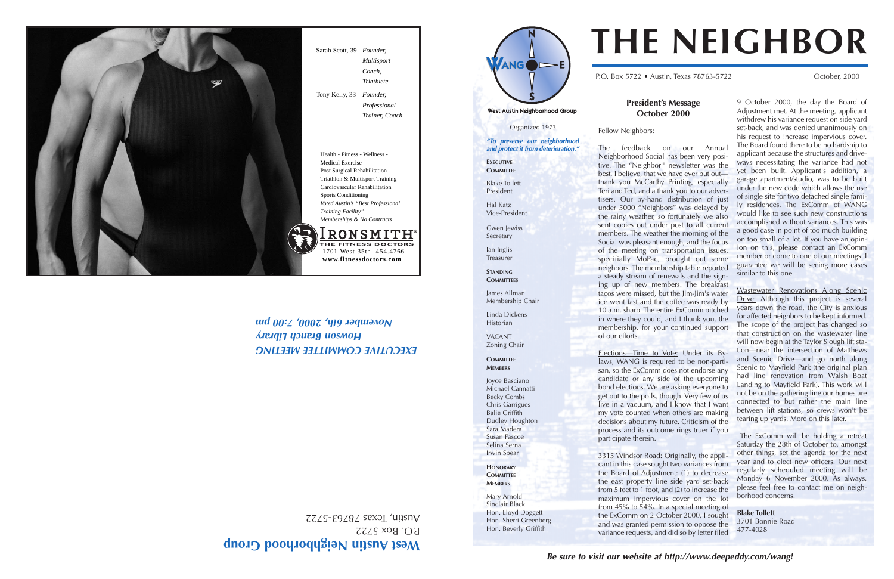Organized 1973

West Austin Neighborhood Group



P.O. Box 5722 • Austin, Texas 78763-5722 October, 2000

**"To preserve our neighborhood and protect it from deterioration."**

Gwen lewiss Secretary

**EXECUTIVE COMMITTEE**

Blake Tollett President

Hal Katz Vice-President

Ian Inglis Treasurer

**STANDING COMMITTEES**

James Allman Membership Chair

Linda Dickens Historian VACANT Zoning Chair **COMMITTEE MEMBERS**

Joyce Basciano Michael Cannatti Becky Combs Chris Garrigues Balie Griffith Dudley Houghton Sara Madera Susan Pascoe Selina Serna Irwin Spear **HONORARY COMMITTEE MEMBERS** Mary Arnold Sinclair Black Hon. Lloyd Doggett Hon. Sherri Greenberg Hon. Beverly Griffith

## **President's Message October 2000**

Fellow Neighbors:

Elections-Time to Vote: Under its Bylaws, WANG is required to be non-partisan, so the ExComm does not endorse any candidate or any side of the upcoming bond elections. We are asking everyone to get out to the polls, though. Very few of us live in a vacuum, and I know that I want my vote counted when others are making decisions about my future. Criticism of the process and its outcome rings truer if you

The feedback on our Annual Neighborhood Social has been very positive. The "Neighbor'' newsletter was the best, I believe, that we have ever put out thank you McCarthy Printing, especially Teri and Ted, and a thank you to our advertisers. Our by-hand distribution of just under 5000 "Neighbors" was delayed by the rainy weather, so fortunately we also sent copies out under post to all current members. The weather the morning of the Social was pleasant enough, and the focus of the meeting on transportation issues, specifially MoPac, brought out some neighbors. The membership table reported a steady stream of renewals and the signing up of new members. The breakfast tacos were missed, but the Jim-Jim's water ice went fast and the coffee was ready by 10 a.m. sharp. The entire ExComm pitched in where they could, and I thank you, the membership, for your continued support

of our efforts.

participate therein.

# West Austin Neighborhood Group

P.O. Box 5722 Austin, Texas 78763-5722

**EXECUTIVE COMMITTEE MEETING Howson Branch Library November 6th, 2000, 2:00 pm** 

> 3315 Windsor Road: Originally, the applicant in this case sought two variances from the Board of Adjustment: (1) to decrease the east property line side yard set-back from 5 feet to 1 foot, and (2) to increase the maximum impervious cover on the lot from 45% to 54%. In a special meeting of the ExComm on 2 October 2000, I sought and was granted permission to oppose the variance requests, and did so by letter filed

9 October 2000, the day the Board of Adjustment met. At the meeting, applicant withdrew his variance request on side yard set-back, and was denied unanimously on his request to increase impervious cover. The Board found there to be no hardship to applicant because the structures and driveways necessitating the variance had not yet been built. Applicant's addition, a garage apartment/studio, was to be built under the new code which allows the use of single site for two detached single family residences. The ExComm of WANG would like to see such new constructions accomplished without variances. This was a good case in point of too much building on too small of a lot. If you have an opinion on this, please contact an ExComm member or come to one of our meetings. I guarantee we will be seeing more cases similar to this one.

Wastewater Renovations Along Scenic Drive: Although this project is several years down the road, the City is anxious for affected neighbors to be kept informed. The scope of the project has changed so that construction on the wastewater line will now begin at the Taylor Slough lift station—near the intersection of Matthews and Scenic Drive—and go north along Scenic to Mayfield Park (the original plan had line renovation from Walsh Boat Landing to Mayfield Park). This work will not be on the gathering line our homes are connected to but rather the main line between lift stations, so crews won't be tearing up yards. More on this later.

The ExComm will be holding a retreat Saturday the 28th of October to, amongst other things, set the agenda for the next year and to elect new officers. Our next regularly scheduled meeting will be Monday 6 November 2000. As always, please feel free to contact me on neighborhood concerns.

**Blake Tollett**

3701 Bonnie Road 477-4028

# **THE NEIGHBOR**

Sarah Scott, 39 *Founder,* 

*Multisport Coach, Triathlete*

Tony Kelly, 33 *Founder,*

**REEDQ** 

*Professional Trainer, Coach* 





Health - Fitness - Wellness - Medical Exercise Post Surgical Rehabilitation Triathlon & Multisport Training Cardiovascular Rehabilitation Sports Conditioning *Voted Austin's "Best Professional Training Facility" Memberships & No Contracts*